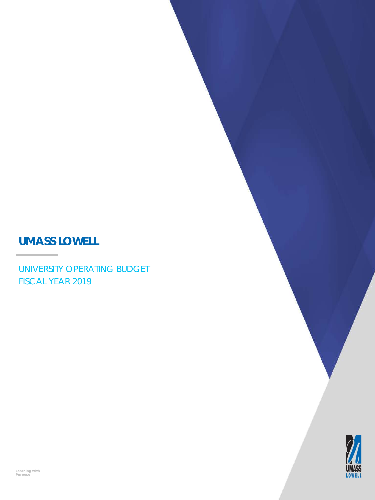# **UMASS LOWELL**

UNIVERSITY OPERATING BUDGET FISCAL YEAR 2019

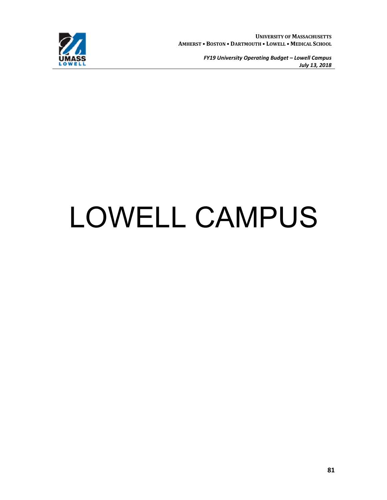

# LOWELL CAMPUS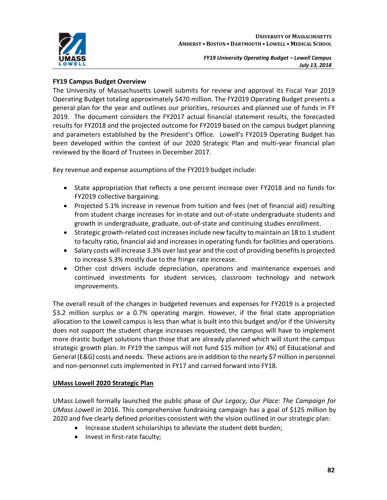

## **FY19 Campus Budget Overview**

The University of Massachusetts Lowell submits for review and approval its Fiscal Year 2019 Operating Budget totaling approximately \$470 million. The FY2019 Operating Budget presents a general plan for the year and outlines our priorities, resources and planned use of funds in FY 2019. The document considers the FY2017 actual financial statement results, the forecasted results for FY2018 and the projected outcome for FY2019 based on the campus budget planning and parameters established by the President's Office. Lowell's FY2019 Operating Budget has been developed within the context of our 2020 Strategic Plan and multi-year financial plan reviewed by the Board of Trustees in December 2017.

Key revenue and expense assumptions of the FY2019 budget include:

- State appropriation that reflects a one percent increase over FY2018 and no funds for FY2019 collective bargaining.
- Projected 5.1% increase in revenue from tuition and fees (net of financial aid) resulting from student charge increases for in-state and out-of-state undergraduate students and growth in undergraduate, graduate, out-of-state and continuing studies enrollment.
- Strategic growth-related cost increases include new faculty to maintain an 18 to 1 student to faculty ratio, financial aid and increases in operating funds for facilities and operations.
- Salary costs will increase 3.3% over last year and the cost of providing benefits is projected to increase 5.3% mostly due to the fringe rate increase.
- Other cost drivers include depreciation, operations and maintenance expenses and continued investments for student services, classroom technology and network improvements.

The overall result of the changes in budgeted revenues and expenses for FY2019 is a projected \$3.2 million surplus or a 0.7% operating margin. However, if the final state appropriation allocation to the Lowell campus is less than what is built into this budget and/or if the University does not support the student charge increases requested, the campus will have to implement more drastic budget solutions than those that are already planned which will stunt the campus strategic growth plan. In FY19 the campus will not fund \$15 million (or 4%) of Educational and General (E&G) costs and needs. These actions are in addition to the nearly \$7 million in personnel and non-personnel cuts implemented in FY17 and carried forward into FY18.

#### **UMass Lowell 2020 Strategic Plan**

UMass Lowell formally launched the public phase of *Our Legacy, Our Place: The Campaign for UMass Lowell* in 2016. This comprehensive fundraising campaign has a goal of \$125 million by 2020 and five clearly defined priorities consistent with the vision outlined in our strategic plan:

- Increase student scholarships to alleviate the student debt burden;
- Invest in first-rate faculty;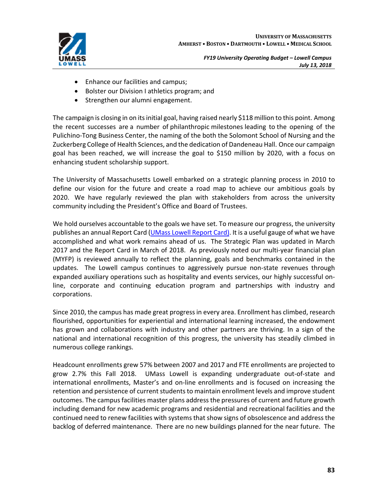

- Enhance our facilities and campus;
- Bolster our Division I athletics program; and
- Strengthen our alumni engagement.

The campaign is closing in on its initial goal, having raised nearly \$118 million to this point. Among the recent successes are a number of philanthropic milestones leading to the opening of the Pulichino-Tong Business Center, the naming of the both the Solomont School of Nursing and the Zuckerberg College of Health Sciences, and the dedication of Dandeneau Hall. Once our campaign goal has been reached, we will increase the goal to \$150 million by 2020, with a focus on enhancing student scholarship support.

The University of Massachusetts Lowell embarked on a strategic planning process in 2010 to define our vision for the future and create a road map to achieve our ambitious goals by 2020. We have regularly reviewed the plan with stakeholders from across the university community including the President's Office and Board of Trustees.

We hold ourselves accountable to the goals we have set. To measure our progress, the university publishes an annual Report Card (UMass Lowell Report Card). It is a useful gauge of what we have accomplished and what work remains ahead of us. The Strategic Plan was updated in March 2017 and the Report Card in March of 2018. As previously noted our multi-year financial plan (MYFP) is reviewed annually to reflect the planning, goals and benchmarks contained in the updates. The Lowell campus continues to aggressively pursue non-state revenues through expanded auxiliary operations such as hospitality and events services, our highly successful online, corporate and continuing education program and partnerships with industry and corporations.

Since 2010, the campus has made great progressin every area. Enrollment has climbed, research flourished, opportunities for experiential and international learning increased, the endowment has grown and collaborations with industry and other partners are thriving. In a sign of the national and international recognition of this progress, the university has steadily climbed in numerous college rankings.

Headcount enrollments grew 57% between 2007 and 2017 and FTE enrollments are projected to grow 2.7% this Fall 2018. UMass Lowell is expanding undergraduate out-of-state and international enrollments, Master's and on-line enrollments and is focused on increasing the retention and persistence of current students to maintain enrollment levels and improve student outcomes. The campusfacilities master plans addressthe pressures of current and future growth including demand for new academic programs and residential and recreational facilities and the continued need to renew facilities with systems that show signs of obsolescence and address the backlog of deferred maintenance. There are no new buildings planned for the near future. The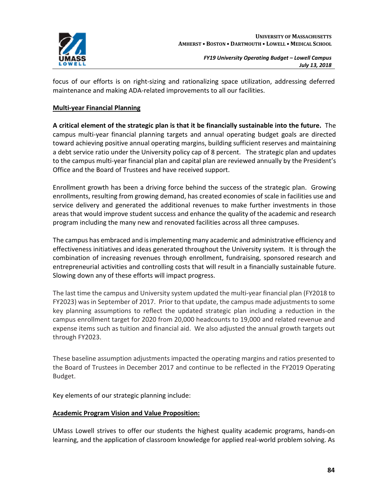

focus of our efforts is on right-sizing and rationalizing space utilization, addressing deferred maintenance and making ADA-related improvements to all our facilities.

#### **Multi-year Financial Planning**

**A critical element of the strategic plan is that it be financially sustainable into the future.** The campus multi-year financial planning targets and annual operating budget goals are directed toward achieving positive annual operating margins, building sufficient reserves and maintaining a debt service ratio under the University policy cap of 8 percent. The strategic plan and updates to the campus multi-year financial plan and capital plan are reviewed annually by the President's Office and the Board of Trustees and have received support.

Enrollment growth has been a driving force behind the success of the strategic plan. Growing enrollments, resulting from growing demand, has created economies of scale in facilities use and service delivery and generated the additional revenues to make further investments in those areas that would improve student success and enhance the quality of the academic and research program including the many new and renovated facilities across all three campuses.

The campus has embraced and isimplementing many academic and administrative efficiency and effectiveness initiatives and ideas generated throughout the University system. It is through the combination of increasing revenues through enrollment, fundraising, sponsored research and entrepreneurial activities and controlling costs that will result in a financially sustainable future. Slowing down any of these efforts will impact progress.

The last time the campus and University system updated the multi-year financial plan (FY2018 to FY2023) was in September of 2017. Prior to that update, the campus made adjustments to some key planning assumptions to reflect the updated strategic plan including a reduction in the campus enrollment target for 2020 from 20,000 headcounts to 19,000 and related revenue and expense items such as tuition and financial aid. We also adjusted the annual growth targets out through FY2023.

These baseline assumption adjustments impacted the operating margins and ratios presented to the Board of Trustees in December 2017 and continue to be reflected in the FY2019 Operating Budget.

Key elements of our strategic planning include:

#### **Academic Program Vision and Value Proposition:**

UMass Lowell strives to offer our students the highest quality academic programs, hands-on learning, and the application of classroom knowledge for applied real-world problem solving. As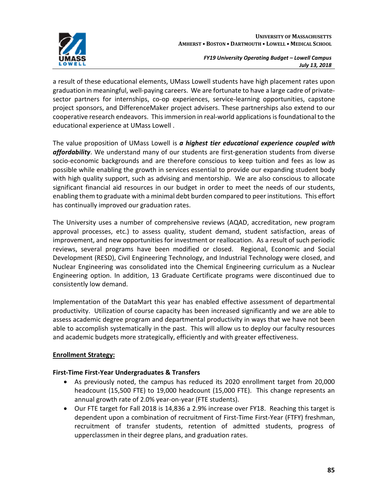

a result of these educational elements, UMass Lowell students have high placement rates upon graduation in meaningful, well-paying careers. We are fortunate to have a large cadre of privatesector partners for internships, co-op experiences, service-learning opportunities, capstone project sponsors, and DifferenceMaker project advisers. These partnerships also extend to our cooperative research endeavors. Thisimmersion in real-world applicationsisfoundational to the educational experience at UMass Lowell .

The value proposition of UMass Lowell is *a highest tier educational experience coupled with affordability*. We understand many of our students are first-generation students from diverse socio-economic backgrounds and are therefore conscious to keep tuition and fees as low as possible while enabling the growth in services essential to provide our expanding student body with high quality support, such as advising and mentorship. We are also conscious to allocate significant financial aid resources in our budget in order to meet the needs of our students, enabling them to graduate with a minimal debt burden compared to peer institutions. This effort has continually improved our graduation rates.

The University uses a number of comprehensive reviews (AQAD, accreditation, new program approval processes, etc.) to assess quality, student demand, student satisfaction, areas of improvement, and new opportunities for investment or reallocation. As a result of such periodic reviews, several programs have been modified or closed. Regional, Economic and Social Development (RESD), Civil Engineering Technology, and Industrial Technology were closed, and Nuclear Engineering was consolidated into the Chemical Engineering curriculum as a Nuclear Engineering option. In addition, 13 Graduate Certificate programs were discontinued due to consistently low demand.

Implementation of the DataMart this year has enabled effective assessment of departmental productivity. Utilization of course capacity has been increased significantly and we are able to assess academic degree program and departmental productivity in ways that we have not been able to accomplish systematically in the past. This will allow us to deploy our faculty resources and academic budgets more strategically, efficiently and with greater effectiveness.

#### **Enrollment Strategy:**

#### **First-Time First-Year Undergraduates & Transfers**

- As previously noted, the campus has reduced its 2020 enrollment target from 20,000 headcount (15,500 FTE) to 19,000 headcount (15,000 FTE). This change represents an annual growth rate of 2.0% year-on-year (FTE students).
- Our FTE target for Fall 2018 is 14,836 a 2.9% increase over FY18. Reaching this target is dependent upon a combination of recruitment of First-Time First-Year (FTFY) freshman, recruitment of transfer students, retention of admitted students, progress of upperclassmen in their degree plans, and graduation rates.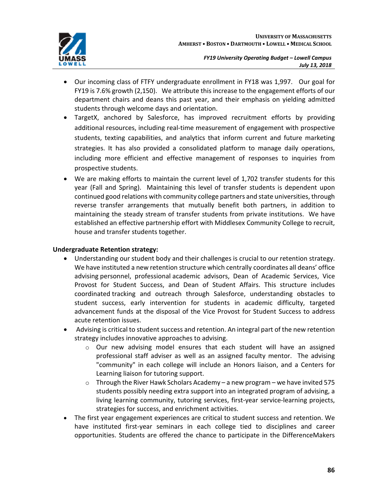

- Our incoming class of FTFY undergraduate enrollment in FY18 was 1,997. Our goal for FY19 is 7.6% growth (2,150). We attribute this increase to the engagement efforts of our department chairs and deans this past year, and their emphasis on yielding admitted students through welcome days and orientation.
- TargetX, anchored by Salesforce, has improved recruitment efforts by providing additional resources, including real-time measurement of engagement with prospective students, texting capabilities, and analytics that inform current and future marketing strategies. It has also provided a consolidated platform to manage daily operations, including more efficient and effective management of responses to inquiries from prospective students.
- We are making efforts to maintain the current level of 1,702 transfer students for this year (Fall and Spring). Maintaining this level of transfer students is dependent upon continued good relations with community college partners and state universities, through reverse transfer arrangements that mutually benefit both partners, in addition to maintaining the steady stream of transfer students from private institutions. We have established an effective partnership effort with Middlesex Community College to recruit, house and transfer students together.

### **Undergraduate Retention strategy:**

- Understanding our student body and their challenges is crucial to our retention strategy. We have instituted a new retention structure which centrally coordinates all deans' office advising personnel, professional academic advisors, Dean of Academic Services, Vice Provost for Student Success, and Dean of Student Affairs. This structure includes coordinated tracking and outreach through Salesforce, understanding obstacles to student success, early intervention for students in academic difficulty, targeted advancement funds at the disposal of the Vice Provost for Student Success to address acute retention issues.
- Advising is critical to student success and retention. An integral part of the new retention strategy includes innovative approaches to advising.
	- o Our new advising model ensures that each student will have an assigned professional staff adviser as well as an assigned faculty mentor. The advising "community" in each college will include an Honors liaison, and a Centers for Learning liaison for tutoring support.
	- $\circ$  Through the River Hawk Scholars Academy a new program we have invited 575 students possibly needing extra support into an integrated program of advising, a living learning community, tutoring services, first-year service-learning projects, strategies for success, and enrichment activities.
- The first year engagement experiences are critical to student success and retention. We have instituted first-year seminars in each college tied to disciplines and career opportunities. Students are offered the chance to participate in the DifferenceMakers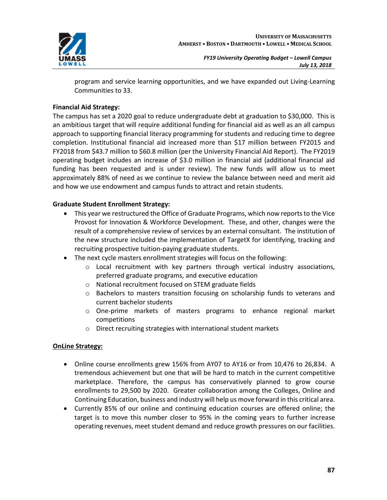

program and service learning opportunities, and we have expanded out Living-Learning Communities to 33.

#### **Financial Aid Strategy:**

The campus has set a 2020 goal to reduce undergraduate debt at graduation to \$30,000. This is an ambitious target that will require additional funding for financial aid as well as an all campus approach to supporting financial literacy programming for students and reducing time to degree completion. Institutional financial aid increased more than \$17 million between FY2015 and FY2018 from \$43.7 million to \$60.8 million (per the University Financial Aid Report). The FY2019 operating budget includes an increase of \$3.0 million in financial aid (additional financial aid funding has been requested and is under review). The new funds will allow us to meet approximately 88% of need as we continue to review the balance between need and merit aid and how we use endowment and campus funds to attract and retain students.

#### **Graduate Student Enrollment Strategy:**

- This year we restructured the Office of Graduate Programs, which now reports to the Vice Provost for Innovation & Workforce Development. These, and other, changes were the result of a comprehensive review of services by an external consultant. The institution of the new structure included the implementation of TargetX for identifying, tracking and recruiting prospective tuition-paying graduate students.
- The next cycle masters enrollment strategies will focus on the following:
	- o Local recruitment with key partners through vertical industry associations, preferred graduate programs, and executive education
	- o National recruitment focused on STEM graduate fields
	- o Bachelors to masters transition focusing on scholarship funds to veterans and current bachelor students
	- o One-prime markets of masters programs to enhance regional market competitions
	- o Direct recruiting strategies with international student markets

#### **OnLine Strategy:**

- Online course enrollments grew 156% from AY07 to AY16 or from 10,476 to 26,834. A tremendous achievement but one that will be hard to match in the current competitive marketplace. Therefore, the campus has conservatively planned to grow course enrollments to 29,500 by 2020. Greater collaboration among the Colleges, Online and Continuing Education, business and industry will help us move forward in this critical area.
- Currently 85% of our online and continuing education courses are offered online; the target is to move this number closer to 95% in the coming years to further increase operating revenues, meet student demand and reduce growth pressures on our facilities.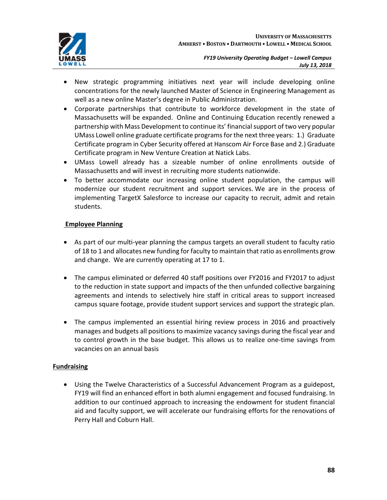

- New strategic programming initiatives next year will include developing online concentrations for the newly launched Master of Science in Engineering Management as well as a new online Master's degree in Public Administration.
- Corporate partnerships that contribute to workforce development in the state of Massachusetts will be expanded. Online and Continuing Education recently renewed a partnership with Mass Development to continue its' financialsupport of two very popular UMass Lowell online graduate certificate programsforthe next three years: 1.) Graduate Certificate program in Cyber Security offered at Hanscom Air Force Base and 2.) Graduate Certificate program in New Venture Creation at Natick Labs.
- UMass Lowell already has a sizeable number of online enrollments outside of Massachusetts and will invest in recruiting more students nationwide.
- To better accommodate our increasing online student population, the campus will modernize our student recruitment and support services. We are in the process of implementing TargetX Salesforce to increase our capacity to recruit, admit and retain students.

## **Employee Planning**

- As part of our multi-year planning the campus targets an overall student to faculty ratio of 18 to 1 and allocates new funding for faculty to maintain that ratio as enrollments grow and change. We are currently operating at 17 to 1.
- The campus eliminated or deferred 40 staff positions over FY2016 and FY2017 to adjust to the reduction in state support and impacts of the then unfunded collective bargaining agreements and intends to selectively hire staff in critical areas to support increased campus square footage, provide student support services and support the strategic plan.
- The campus implemented an essential hiring review process in 2016 and proactively manages and budgets all positions to maximize vacancy savings during the fiscal year and to control growth in the base budget. This allows us to realize one-time savings from vacancies on an annual basis

# **Fundraising**

• Using the Twelve Characteristics of a Successful Advancement Program as a guidepost, FY19 will find an enhanced effort in both alumni engagement and focused fundraising. In addition to our continued approach to increasing the endowment for student financial aid and faculty support, we will accelerate our fundraising efforts for the renovations of Perry Hall and Coburn Hall.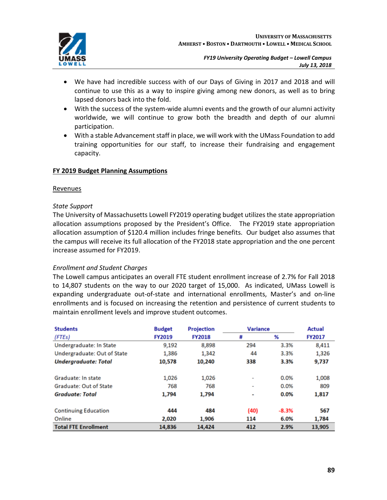

- We have had incredible success with of our Days of Giving in 2017 and 2018 and will continue to use this as a way to inspire giving among new donors, as well as to bring lapsed donors back into the fold.
- With the success of the system-wide alumni events and the growth of our alumni activity worldwide, we will continue to grow both the breadth and depth of our alumni participation.
- With a stable Advancement staff in place, we will work with the UMass Foundation to add training opportunities for our staff, to increase their fundraising and engagement capacity.

#### **FY 2019 Budget Planning Assumptions**

#### Revenues

#### *State Support*

The University of Massachusetts Lowell FY2019 operating budget utilizes the state appropriation allocation assumptions proposed by the President's Office. The FY2019 state appropriation allocation assumption of \$120.4 million includes fringe benefits. Our budget also assumes that the campus will receive its full allocation of the FY2018 state appropriation and the one percent increase assumed for FY2019.

#### *Enrollment and Student Charges*

The Lowell campus anticipates an overall FTE student enrollment increase of 2.7% for Fall 2018 to 14,807 students on the way to our 2020 target of 15,000. As indicated, UMass Lowell is expanding undergraduate out-of-state and international enrollments, Master's and on-line enrollments and is focused on increasing the retention and persistence of current students to maintain enrollment levels and improve student outcomes.

| <b>Students</b>               | <b>Budget</b> | <b>Projection</b> | <b>Variance</b>          |         | <b>Actual</b> |
|-------------------------------|---------------|-------------------|--------------------------|---------|---------------|
| (FTEs)                        | <b>FY2019</b> | <b>FY2018</b>     | #                        | %       | <b>FY2017</b> |
| Undergraduate: In State       | 9,192         | 8,898             | 294                      | 3.3%    | 8,411         |
| Undergraduate: Out of State   | 1,386         | 1,342             | 44                       | 3.3%    | 1,326         |
| <b>Undergraduate: Total</b>   | 10,578        | 10,240            | 338                      | 3.3%    | 9,737         |
| Graduate: In state            | 1,026         | 1,026             | ۰                        | 0.0%    | 1,008         |
| <b>Graduate: Out of State</b> | 768           | 768               | $\overline{\phantom{a}}$ | 0.0%    | 809           |
| <b>Graduate: Total</b>        | 1.794         | 1.794             | $\overline{\phantom{a}}$ | 0.0%    | 1,817         |
| <b>Continuing Education</b>   | 444           | 484               | (40)                     | $-8.3%$ | 567           |
| Online                        | 2,020         | 1,906             | 114                      | 6.0%    | 1,784         |
| <b>Total FTE Enrollment</b>   | 14,836        | 14,424            | 412                      | 2.9%    | 13,905        |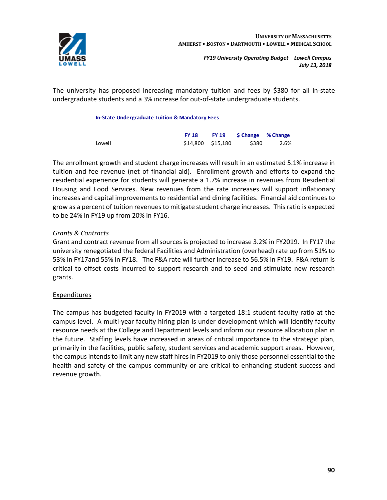

The university has proposed increasing mandatory tuition and fees by \$380 for all in-state undergraduate students and a 3% increase for out-of-state undergraduate students.

#### **In-State Undergraduate Tuition & Mandatory Fees**

|        | <b>FY 18</b>      | FY 19 \$ Change % Change |      |
|--------|-------------------|--------------------------|------|
| Lowell | \$14,800 \$15,180 | \$380                    | 2.6% |

The enrollment growth and student charge increases will result in an estimated 5.1% increase in tuition and fee revenue (net of financial aid). Enrollment growth and efforts to expand the residential experience for students will generate a 1.7% increase in revenues from Residential Housing and Food Services. New revenues from the rate increases will support inflationary increases and capital improvements to residential and dining facilities. Financial aid continues to grow as a percent of tuition revenues to mitigate student charge increases. Thisratio is expected to be 24% in FY19 up from 20% in FY16.

#### *Grants & Contracts*

Grant and contract revenue from all sources is projected to increase 3.2% in FY2019. In FY17 the university renegotiated the federal Facilities and Administration (overhead) rate up from 51% to 53% in FY17and 55% in FY18. The F&A rate will further increase to 56.5% in FY19. F&A return is critical to offset costs incurred to support research and to seed and stimulate new research grants.

#### **Expenditures**

The campus has budgeted faculty in FY2019 with a targeted 18:1 student faculty ratio at the campus level. A multi-year faculty hiring plan is under development which will identify faculty resource needs at the College and Department levels and inform our resource allocation plan in the future. Staffing levels have increased in areas of critical importance to the strategic plan, primarily in the facilities, public safety, student services and academic support areas. However, the campus intends to limit any new staff hires in FY2019 to only those personnel essential to the health and safety of the campus community or are critical to enhancing student success and revenue growth.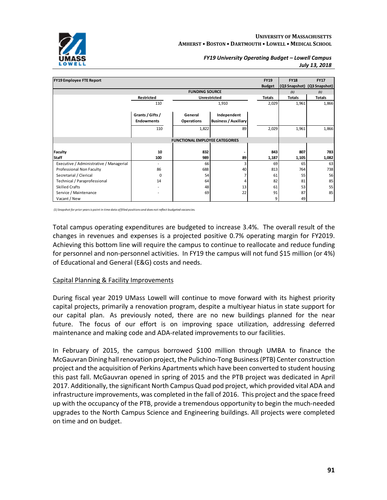

| <b>FY19 Employee FTE Report</b>         |                                       |                                       |                                            | <b>FY19</b>   | <b>FY18</b>   | <b>FY17</b>                 |
|-----------------------------------------|---------------------------------------|---------------------------------------|--------------------------------------------|---------------|---------------|-----------------------------|
|                                         |                                       |                                       |                                            | <b>Budget</b> |               | (Q3 Snapshot) (Q3 Snapshot) |
|                                         |                                       | <b>FUNDING SOURCE</b>                 |                                            |               | (1)           | (1)                         |
|                                         | Restricted                            |                                       | Unrestricted                               | Totals        | <b>Totals</b> | Totals                      |
|                                         | 110                                   |                                       | 1,910                                      | 2,029         | 1,961         | 1,866                       |
|                                         | Grants / Gifts /<br><b>Endowments</b> | General<br><b>Operations</b>          | Independent<br><b>Business / Auxiliary</b> |               |               |                             |
|                                         | 110                                   | 1,822                                 | 89                                         | 2,029         | 1,961         | 1,866                       |
|                                         |                                       | <b>FUNCTIONAL EMPLOYEE CATEGORIES</b> |                                            |               |               |                             |
| <b>Faculty</b>                          | 10                                    | 832                                   |                                            | 843           | 807           | 783                         |
| <b>Staff</b>                            | 100                                   | 989                                   | 89                                         | 1,187         | 1,105         | 1,082                       |
| Executive / Administrative / Managerial |                                       | 66                                    | 3                                          | 69            | 65            | 63                          |
| Professional Non Faculty                | 86                                    | 688                                   | 40                                         | 813           | 764           | 738                         |
| Secretarial / Clerical                  | $\Omega$                              | 54                                    | 7                                          | 61            | 55            | 56                          |
| Technical / Paraprofessional            | 14                                    | 64                                    | 4                                          | 82            | 81            | 85                          |
| <b>Skilled Crafts</b>                   |                                       | 48                                    | 13                                         | 61            | 53            | 55                          |
| Service / Maintenance                   |                                       | 69                                    | 22                                         | 91            | 87            | 85                          |
| Vacant / New                            |                                       |                                       |                                            | 9             | 49            |                             |

*(1) Snapshot for prior yearsis point in time data offilled positions and does not reflect budgeted vacancies.*

Total campus operating expenditures are budgeted to increase 3.4%. The overall result of the changes in revenues and expenses is a projected positive 0.7% operating margin for FY2019. Achieving this bottom line will require the campus to continue to reallocate and reduce funding for personnel and non-personnel activities. In FY19 the campus will not fund \$15 million (or 4%) of Educational and General (E&G) costs and needs.

#### Capital Planning & Facility Improvements

During fiscal year 2019 UMass Lowell will continue to move forward with its highest priority capital projects, primarily a renovation program, despite a multiyear hiatus in state support for our capital plan. As previously noted, there are no new buildings planned for the near future. The focus of our effort is on improving space utilization, addressing deferred maintenance and making code and ADA-related improvements to our facilities.

In February of 2015, the campus borrowed \$100 million through UMBA to finance the McGauvran Dining hallrenovation project, the Pulichino-Tong Business(PTB) Center construction project and the acquisition of Perkins Apartments which have been converted to student housing this past fall. McGauvran opened in spring of 2015 and the PTB project was dedicated in April 2017. Additionally, the significant North Campus Quad pod project, which provided vital ADA and infrastructure improvements, was completed in the fall of 2016. This project and the space freed up with the occupancy of the PTB, provide a tremendous opportunity to begin the much-needed upgrades to the North Campus Science and Engineering buildings. All projects were completed on time and on budget.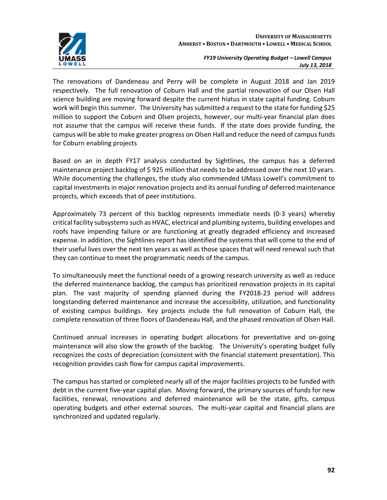



The renovations of Dandeneau and Perry will be complete in August 2018 and Jan 2019 respectively. The full renovation of Coburn Hall and the partial renovation of our Olsen Hall science building are moving forward despite the current hiatus in state capital funding. Coburn work will begin this summer. The University hassubmitted a request to the state for funding \$25 million to support the Coburn and Olsen projects, however, our multi-year financial plan does not assume that the campus will receive these funds. If the state does provide funding, the campus will be able to make greater progress on Olsen Hall and reduce the need of campus funds for Coburn enabling projects

Based on an in depth FY17 analysis conducted by Sightlines, the campus has a deferred maintenance project backlog of \$ 925 million that needs to be addressed over the next 10 years. While documenting the challenges, the study also commended UMass Lowell's commitment to capital investments in major renovation projects and its annual funding of deferred maintenance projects, which exceeds that of peer institutions.

Approximately 73 percent of this backlog represents immediate needs (0-3 years) whereby critical facility subsystemssuch as HVAC, electrical and plumbing systems, building envelopes and roofs have impending failure or are functioning at greatly degraded efficiency and increased expense. In addition, the Sightlines report has identified the systems that will come to the end of their useful lives over the next ten years as well as those spaces that will need renewal such that they can continue to meet the programmatic needs of the campus.

To simultaneously meet the functional needs of a growing research university as well as reduce the deferred maintenance backlog, the campus has prioritized renovation projects in its capital plan. The vast majority of spending planned during the FY2018-23 period will address longstanding deferred maintenance and increase the accessibility, utilization, and functionality of existing campus buildings. Key projects include the full renovation of Coburn Hall, the complete renovation of three floors of Dandeneau Hall, and the phased renovation of Olsen Hall.

Continued annual increases in operating budget allocations for preventative and on-going maintenance will also slow the growth of the backlog. The University's operating budget fully recognizes the costs of depreciation (consistent with the financial statement presentation). This recognition provides cash flow for campus capital improvements.

The campus has started or completed nearly all of the major facilities projects to be funded with debt in the current five-year capital plan. Moving forward, the primary sources of funds for new facilities, renewal, renovations and deferred maintenance will be the state, gifts, campus operating budgets and other external sources. The multi-year capital and financial plans are synchronized and updated regularly.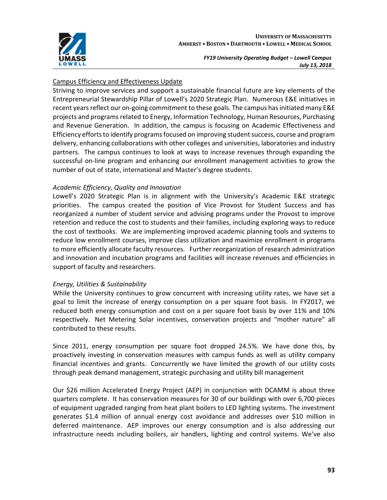

#### Campus Efficiency and Effectiveness Update

Striving to improve services and support a sustainable financial future are key elements of the Entrepreneurial Stewardship Pillar of Lowell's 2020 Strategic Plan. Numerous E&E initiatives in recent years reflect our on-going commitment to these goals. The campus has initiated many E&E projects and programs related to Energy, Information Technology, Human Resources, Purchasing and Revenue Generation. In addition, the campus is focusing on Academic Effectiveness and Efficiency efforts to identify programs focused on improving student success, course and program delivery, enhancing collaborations with other colleges and universities, laboratories and industry partners. The campus continues to look at ways to increase revenues through expanding the successful on-line program and enhancing our enrollment management activities to grow the number of out of state, international and Master's degree students.

#### *Academic Efficiency, Quality and Innovation*

Lowell's 2020 Strategic Plan is in alignment with the University's Academic E&E strategic priorities. The campus created the position of Vice Provost for Student Success and has reorganized a number of student service and advising programs under the Provost to improve retention and reduce the cost to students and their families, including exploring ways to reduce the cost of textbooks. We are implementing improved academic planning tools and systems to reduce low enrollment courses, improve class utilization and maximize enrollment in programs to more efficiently allocate faculty resources. Further reorganization of research administration and innovation and incubation programs and facilities will increase revenues and efficiencies in support of faculty and researchers.

#### *Energy, Utilities & Sustainability*

While the University continues to grow concurrent with increasing utility rates, we have set a goal to limit the increase of energy consumption on a per square foot basis. In FY2017, we reduced both energy consumption and cost on a per square foot basis by over 11% and 10% respectively. Net Metering Solar incentives, conservation projects and "mother nature" all contributed to these results.

Since 2011, energy consumption per square foot dropped 24.5%. We have done this, by proactively investing in conservation measures with campus funds as well as utility company financial incentives and grants. Concurrently we have limited the growth of our utility costs through peak demand management, strategic purchasing and utility bill management

Our \$26 million Accelerated Energy Project (AEP) in conjunction with DCAMM is about three quarters complete. It has conservation measures for 30 of our buildings with over 6,700 pieces of equipment upgraded ranging from heat plant boilers to LED lighting systems. The investment generates \$1.4 million of annual energy cost avoidance and addresses over \$10 million in deferred maintenance. AEP improves our energy consumption and is also addressing our infrastructure needs including boilers, air handlers, lighting and control systems. We've also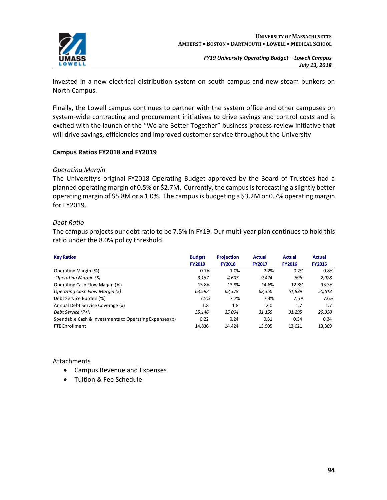

invested in a new electrical distribution system on south campus and new steam bunkers on North Campus.

Finally, the Lowell campus continues to partner with the system office and other campuses on system-wide contracting and procurement initiatives to drive savings and control costs and is excited with the launch of the "We are Better Together" business process review initiative that will drive savings, efficiencies and improved customer service throughout the University

#### **Campus Ratios FY2018 and FY2019**

#### *Operating Margin*

The University's original FY2018 Operating Budget approved by the Board of Trustees had a planned operating margin of 0.5% or \$2.7M. Currently, the campus is forecasting a slightly better operating margin of \$5.8M or a 1.0%. The campusis budgeting a \$3.2M or 0.7% operating margin for FY2019.

#### *Debt Ratio*

The campus projects our debt ratio to be 7.5% in FY19. Our multi-year plan continues to hold this ratio under the 8.0% policy threshold.

| <b>Key Ratios</b>                                      | <b>Budget</b><br><b>FY2019</b> | <b>Projection</b><br><b>FY2018</b> | <b>Actual</b><br><b>FY2017</b> | <b>Actual</b><br><b>FY2016</b> | <b>Actual</b><br><b>FY2015</b> |
|--------------------------------------------------------|--------------------------------|------------------------------------|--------------------------------|--------------------------------|--------------------------------|
| Operating Margin (%)                                   | 0.7%                           | 1.0%                               | 2.2%                           | 0.2%                           | 0.8%                           |
| Operating Margin (\$)                                  | 3.167                          | 4,607                              | 9.424                          | 696                            | 2,928                          |
| Operating Cash Flow Margin (%)                         | 13.8%                          | 13.9%                              | 14.6%                          | 12.8%                          | 13.3%                          |
| Operating Cash Flow Margin (\$)                        | 63,592                         | 62,378                             | 62,350                         | 51,839                         | 50,613                         |
| Debt Service Burden (%)                                | 7.5%                           | 7.7%                               | 7.3%                           | 7.5%                           | 7.6%                           |
| Annual Debt Service Coverage (x)                       | 1.8                            | 1.8                                | 2.0                            | 1.7                            | 1.7                            |
| Debt Service (P+I)                                     | 35.146                         | 35.004                             | 31.155                         | 31.295                         | 29,330                         |
| Spendable Cash & Investments to Operating Expenses (x) | 0.22                           | 0.24                               | 0.31                           | 0.34                           | 0.34                           |
| <b>FTE Enrollment</b>                                  | 14,836                         | 14,424                             | 13,905                         | 13,621                         | 13,369                         |

#### Attachments

- Campus Revenue and Expenses
- Tuition & Fee Schedule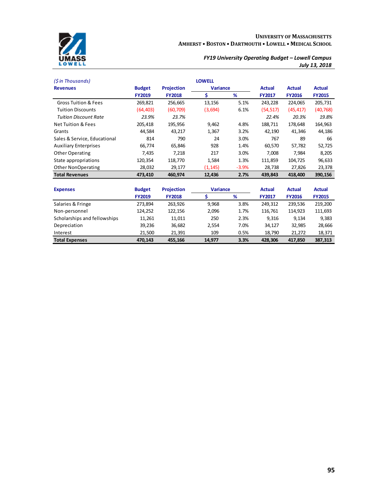

| (\$ in Thousands)               |               |                   | <b>LOWELL</b>   |         |               |               |               |
|---------------------------------|---------------|-------------------|-----------------|---------|---------------|---------------|---------------|
| <b>Revenues</b>                 | <b>Budget</b> | <b>Projection</b> | <b>Variance</b> |         | <b>Actual</b> | <b>Actual</b> | <b>Actual</b> |
|                                 | <b>FY2019</b> | <b>FY2018</b>     | \$              | %       | FY2017        | <b>FY2016</b> | <b>FY2015</b> |
| <b>Gross Tuition &amp; Fees</b> | 269,821       | 256,665           | 13,156          | 5.1%    | 243,228       | 224,065       | 205,731       |
| <b>Tuition Discounts</b>        | (64,403)      | (60, 709)         | (3,694)         | 6.1%    | (54,517)      | (45, 417)     | (40, 768)     |
| <b>Tuition Discount Rate</b>    | 23.9%         | 23.7%             |                 |         | 22.4%         | 20.3%         | 19.8%         |
| <b>Net Tuition &amp; Fees</b>   | 205,418       | 195,956           | 9,462           | 4.8%    | 188,711       | 178,648       | 164,963       |
| Grants                          | 44,584        | 43,217            | 1,367           | 3.2%    | 42,190        | 41,346        | 44,186        |
| Sales & Service, Educational    | 814           | 790               | 24              | 3.0%    | 767           | 89            | 66            |
| <b>Auxiliary Enterprises</b>    | 66,774        | 65,846            | 928             | 1.4%    | 60,570        | 57,782        | 52,725        |
| Other Operating                 | 7,435         | 7,218             | 217             | 3.0%    | 7,008         | 7,984         | 8,205         |
| State appropriations            | 120,354       | 118,770           | 1,584           | 1.3%    | 111,859       | 104,725       | 96,633        |
| Other NonOperating              | 28,032        | 29,177            | (1, 145)        | $-3.9%$ | 28,738        | 27,826        | 23,378        |
| <b>Total Revenues</b>           | 473,410       | 460,974           | 12,436          | 2.7%    | 439,843       | 418,400       | 390,156       |
|                                 |               |                   |                 |         |               |               |               |
| <b>Expenses</b>                 | <b>Budget</b> | <b>Projection</b> | <b>Variance</b> |         | <b>Actual</b> | <b>Actual</b> | <b>Actual</b> |
|                                 | <b>FY2019</b> | <b>FY2018</b>     | \$              | %       | <b>FY2017</b> | <b>FY2016</b> | <b>FY2015</b> |
| Salaries & Fringe               | 273,894       | 263,926           | 9,968           | 3.8%    | 249,312       | 239,536       | 219,200       |
| Non-personnel                   | 124.252       | 122.156           | 2.096           | 1.7%    | 116.761       | 114.923       | 111.693       |

| <b>Total Expenses</b>        | 470.143 | 455.166 | 14,977 | 3.3% | 428.306 | 417.850 | 387,313 |
|------------------------------|---------|---------|--------|------|---------|---------|---------|
| Interest                     | 21.500  | 21.391  | 109    | 0.5% | 18.790  | 21.272  | 18.371  |
| Depreciation                 | 39.236  | 36.682  | 2.554  | 7.0% | 34.127  | 32.985  | 28,666  |
| Scholarships and fellowships | 11.261  | 11.011  | 250    | 2.3% | 9.316   | 9.134   | 9,383   |
| Non-personnel                | 124.252 | 122.156 | 2.096  | 1.7% | 116.761 | 114.923 | 111.693 |
|                              |         |         |        |      |         |         |         |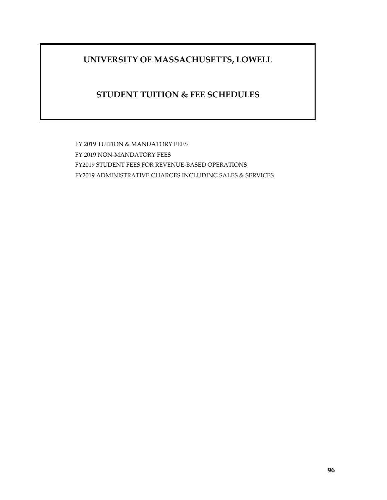# **UNIVERSITY OF MASSACHUSETTS, LOWELL**

# **STUDENT TUITION & FEE SCHEDULES**

FY 2019 TUITION & MANDATORY FEES FY 2019 NON-MANDATORY FEES FY2019 STUDENT FEES FOR REVENUE-BASED OPERATIONS FY2019 ADMINISTRATIVE CHARGES INCLUDING SALES & SERVICES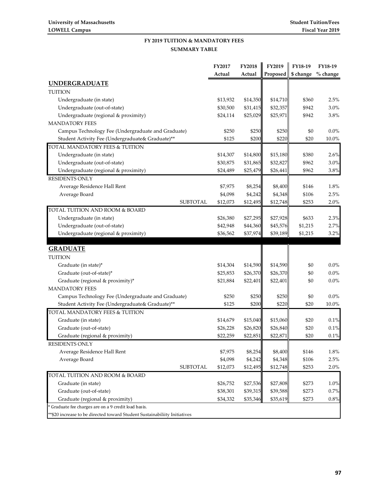#### **SUMMARY TABLE FY 2019 TUITION & MANDATORY FEES**

|                                                                          | FY2017   | <b>FY2018</b> | FY2019   | FY18-19   | FY18-19  |
|--------------------------------------------------------------------------|----------|---------------|----------|-----------|----------|
|                                                                          | Actual   | Actual        | Proposed | \$ change | % change |
| <b>UNDERGRADUATE</b>                                                     |          |               |          |           |          |
| <b>TUITION</b>                                                           |          |               |          |           |          |
| Undergraduate (in state)                                                 | \$13,932 | \$14,350      | \$14,710 | \$360     | 2.5%     |
| Undergraduate (out-of-state)                                             | \$30,500 | \$31,415      | \$32,357 | \$942     | 3.0%     |
| Undergraduate (regional & proximity)                                     | \$24,114 | \$25,029      | \$25,971 | \$942     | 3.8%     |
| <b>MANDATORY FEES</b>                                                    |          |               |          |           |          |
| Campus Technology Fee (Undergraduate and Graduate)                       | \$250    | \$250         | \$250    | \$0       | 0.0%     |
| Student Activity Fee (Undergraduate& Graduate)**                         | \$125    | \$200         | \$220    | \$20      | 10.0%    |
| TOTAL MANDATORY FEES & TUITION                                           |          |               |          |           |          |
| Undergraduate (in state)                                                 | \$14,307 | \$14,800      | \$15,180 | \$380     | 2.6%     |
| Undergraduate (out-of-state)                                             | \$30,875 | \$31,865      | \$32,827 | \$962     | 3.0%     |
| Undergraduate (regional & proximity)                                     | \$24,489 | \$25,479      | \$26,441 | \$962     | $3.8\%$  |
| <b>RESIDENTS ONLY</b>                                                    |          |               |          |           |          |
| Average Residence Hall Rent                                              | \$7,975  | \$8,254       | \$8,400  | \$146     | 1.8%     |
| Average Board                                                            | \$4,098  | \$4,242       | \$4,348  | \$106     | 2.5%     |
| <b>SUBTOTAL</b>                                                          | \$12,073 | \$12,495      | \$12,748 | \$253     | 2.0%     |
| TOTAL TUITION AND ROOM & BOARD                                           |          |               |          |           |          |
| Undergraduate (in state)                                                 | \$26,380 | \$27,295      | \$27,928 | \$633     | 2.3%     |
| Undergraduate (out-of-state)                                             | \$42,948 | \$44,360      | \$45,576 | \$1,215   | 2.7%     |
| Undergraduate (regional & proximity)                                     | \$36,562 | \$37,974      | \$39,189 | \$1,215   | 3.2%     |
| <b>GRADUATE</b>                                                          |          |               |          |           |          |
| <b>TUITION</b>                                                           |          |               |          |           |          |
| Graduate (in state)*                                                     | \$14,304 | \$14,590      | \$14,590 | \$0       | $0.0\%$  |
| Graduate (out-of-state)*                                                 | \$25,853 | \$26,370      | \$26,370 | \$0       | $0.0\%$  |
| Graduate (regional & proximity)*                                         | \$21,884 | \$22,401      | \$22,401 | \$0       | $0.0\%$  |
| <b>MANDATORY FEES</b>                                                    |          |               |          |           |          |
| Campus Technology Fee (Undergraduate and Graduate)                       | \$250    | \$250         | \$250    | \$0       | $0.0\%$  |
| Student Activity Fee (Undergraduate& Graduate)**                         | \$125    | \$200         | \$220    | \$20      | 10.0%    |
| TOTAL MANDATORY FEES & TUITION                                           |          |               |          |           |          |
| Graduate (in state)                                                      | \$14,679 | \$15,040      | \$15,060 | \$20      | 0.1%     |
| Graduate (out-of-state)                                                  | \$26,228 | \$26,820      | \$26,840 | \$20      | 0.1%     |
| Graduate (regional & proximity)                                          | \$22,259 | \$22,851      | \$22,871 | \$20      | 0.1%     |
| <b>RESIDENTS ONLY</b>                                                    |          |               |          |           |          |
| Average Residence Hall Rent                                              | \$7,975  | \$8,254       | \$8,400  | \$146     | 1.8%     |
| Average Board                                                            | \$4,098  | \$4,242       | \$4,348  | \$106     | 2.5%     |
| <b>SUBTOTAL</b>                                                          | \$12,073 | \$12,495      | \$12,748 | \$253     | 2.0%     |
| TOTAL TUITION AND ROOM & BOARD                                           |          |               |          |           |          |
| Graduate (in state)                                                      | \$26,752 | \$27,536      | \$27,808 | \$273     | 1.0%     |
| Graduate (out-of-state)                                                  | \$38,301 | \$39,315      | \$39,588 | \$273     | 0.7%     |
| Graduate (regional & proximity)                                          | \$34,332 | \$35,346      | \$35,619 | \$273     | 0.8%     |
| * Graduate fee charges are on a 9 credit load basis.                     |          |               |          |           |          |
| *\$20 increase to be directed toward Student Sustainabiliity Initiatives |          |               |          |           |          |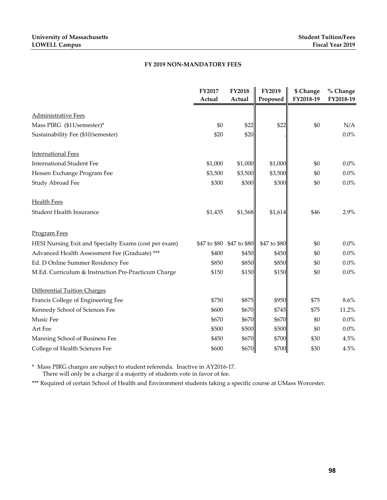#### **FY 2019 NON-MANDATORY FEES**

|                                                       | FY2017       | <b>FY2018</b> | FY2019       | \$ Change | % Change  |
|-------------------------------------------------------|--------------|---------------|--------------|-----------|-----------|
|                                                       | Actual       | Actual        | Proposed     | FY2018-19 | FY2018-19 |
| <b>Administrative Fees</b>                            |              |               |              |           |           |
| Mass PIRG (\$11/semester)*                            | \$0          | \$22          | \$22         | \$0       | N/A       |
| Sustainability Fee (\$10/semester)                    | \$20         | \$20          |              |           | $0.0\%$   |
| <b>International Fees</b>                             |              |               |              |           |           |
| <b>International Student Fee</b>                      | \$1,000      | \$1,000       | \$1,000      | \$0       | 0.0%      |
| Hessen Exchange Program Fee                           | \$3,500      | \$3,500       | \$3,500      | \$0       | $0.0\%$   |
| Study Abroad Fee                                      | \$300        | \$300         | \$300        | \$0       | 0.0%      |
| <b>Health Fees</b>                                    |              |               |              |           |           |
| <b>Student Health Insurance</b>                       | \$1,435      | \$1,568       | \$1,614      | \$46      | 2.9%      |
| <b>Program Fees</b>                                   |              |               |              |           |           |
| HESI Nursing Exit and Specialty Exams (cost per exam) | \$47 to \$80 | \$47 to \$80  | \$47 to \$80 | \$0       | $0.0\%$   |
| Advanced Health Assessment Fee (Graduate) ***         | \$400        | \$450         | \$450        | \$0       | $0.0\%$   |
| Ed. D Online Summer Residency Fee                     | \$850        | \$850         | \$850        | \$0       | $0.0\%$   |
| M.Ed. Curriculum & Instruction Pre-Practicum Charge   | \$150        | \$150         | \$150        | \$0       | $0.0\%$   |
| <b>Differential Tuition Charges</b>                   |              |               |              |           |           |
| Francis College of Engineering Fee                    | \$750        | \$875         | \$950        | \$75      | 8.6%      |
| Kennedy School of Sciences Fee                        | \$600        | \$670         | \$745        | \$75      | 11.2%     |
| Music Fee                                             | \$670        | \$670         | \$670        | \$0       | 0.0%      |
| Art Fee                                               | \$500        | \$500         | \$500        | \$0       | $0.0\%$   |
| Manning School of Business Fee                        | \$450        | \$670         | \$700        | \$30      | 4.5%      |
| College of Health Sciences Fee                        | \$600        | \$670         | \$700        | \$30      | 4.5%      |

\* Mass PIRG charges are subject to student referenda. Inactive in AY2016-17.

There will only be a charge if a majority of students vote in favor of fee.

\*\*\* Required of certain School of Health and Environment students taking a specific course at UMass Worcester.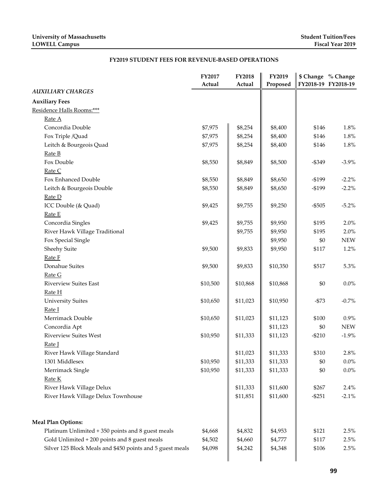## **FY2019 STUDENT FEES FOR REVENUE-BASED OPERATIONS**

|                                                           | FY2017   | FY2018   | FY2019             | \$ Change % Change  |            |
|-----------------------------------------------------------|----------|----------|--------------------|---------------------|------------|
| <b>AUXILIARY CHARGES</b>                                  | Actual   | Actual   | Proposed           | FY2018-19 FY2018-19 |            |
|                                                           |          |          |                    |                     |            |
| <b>Auxiliary Fees</b>                                     |          |          |                    |                     |            |
| Residence Halls Rooms:***                                 |          |          |                    |                     |            |
| Rate A<br>Concordia Double                                |          |          |                    |                     |            |
|                                                           | \$7,975  | \$8,254  | \$8,400            | \$146               | 1.8%       |
| Fox Triple /Quad                                          | \$7,975  | \$8,254  | \$8,400<br>\$8,400 | \$146               | 1.8%       |
| Leitch & Bourgeois Quad                                   | \$7,975  | \$8,254  |                    | \$146               | 1.8%       |
| Rate B<br>Fox Double                                      |          |          | \$8,500            | $-$ \$349           | $-3.9\%$   |
| Rate C                                                    | \$8,550  | \$8,849  |                    |                     |            |
| Fox Enhanced Double                                       | \$8,550  | \$8,849  | \$8,650            | $-$199$             | $-2.2%$    |
|                                                           | \$8,550  | \$8,849  | \$8,650            | $-$199$             | $-2.2%$    |
| Leitch & Bourgeois Double<br>Rate D                       |          |          |                    |                     |            |
|                                                           | \$9,425  | \$9,755  | \$9,250            | $- $505$            | $-5.2\%$   |
| ICC Double (& Quad)<br>Rate E                             |          |          |                    |                     |            |
| Concordia Singles                                         | \$9,425  | \$9,755  | \$9,950            | \$195               | 2.0%       |
| River Hawk Village Traditional                            |          | \$9,755  | \$9,950            | \$195               | 2.0%       |
| Fox Special Single                                        |          |          | \$9,950            | \$0                 | <b>NEW</b> |
| Sheehy Suite                                              | \$9,500  | \$9,833  | \$9,950            | \$117               | 1.2%       |
| Rate F                                                    |          |          |                    |                     |            |
| Donahue Suites                                            | \$9,500  | \$9,833  | \$10,350           | \$517               | 5.3%       |
| Rate G                                                    |          |          |                    |                     |            |
| <b>Riverview Suites East</b>                              | \$10,500 | \$10,868 | \$10,868           | \$0                 | $0.0\%$    |
| Rate H                                                    |          |          |                    |                     |            |
| <b>University Suites</b>                                  | \$10,650 | \$11,023 | \$10,950           | $-$73$              | $-0.7%$    |
| Rate I                                                    |          |          |                    |                     |            |
| Merrimack Double                                          | \$10,650 | \$11,023 | \$11,123           | \$100               | 0.9%       |
| Concordia Apt                                             |          |          | \$11,123           | \$0                 | <b>NEW</b> |
| <b>Riverview Suites West</b>                              | \$10,950 | \$11,333 | \$11,123           | $-$210$             | $-1.9%$    |
| Rate I                                                    |          |          |                    |                     |            |
| River Hawk Village Standard                               |          | \$11,023 | \$11,333           | \$310               | 2.8%       |
| 1301 Middlesex                                            | \$10,950 | \$11,333 | \$11,333           | \$0                 | $0.0\%$    |
| Merrimack Single                                          | \$10,950 | \$11,333 | \$11,333           | \$0                 | $0.0\%$    |
| Rate K                                                    |          |          |                    |                     |            |
| River Hawk Village Delux                                  |          | \$11,333 | \$11,600           | \$267               | 2.4%       |
| River Hawk Village Delux Townhouse                        |          | \$11,851 | \$11,600           | $-$251$             | $-2.1%$    |
|                                                           |          |          |                    |                     |            |
| <b>Meal Plan Options:</b>                                 |          |          |                    |                     |            |
| Platinum Unlimited + 350 points and 8 guest meals         | \$4,668  | \$4,832  | \$4,953            | \$121               | 2.5%       |
| Gold Unlimited + 200 points and 8 guest meals             | \$4,502  | \$4,660  | \$4,777            | \$117               | 2.5%       |
| Silver 125 Block Meals and \$450 points and 5 guest meals | \$4,098  | \$4,242  | \$4,348            | \$106               | 2.5%       |
|                                                           |          |          |                    |                     |            |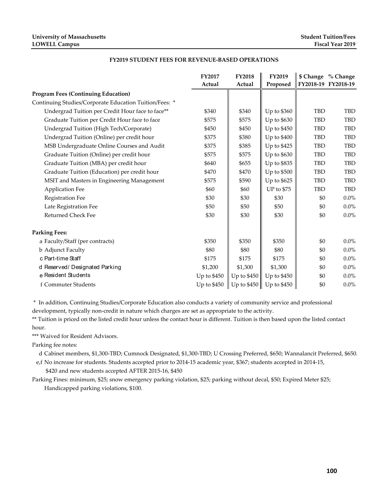#### **FY2019 STUDENT FEES FOR REVENUE-BASED OPERATIONS**

|                                                        | <b>FY2017</b><br>Actual | <b>FY2018</b><br>Actual | FY2019<br>Proposed | \$ Change % Change<br>FY2018-19 FY2018-19 |            |
|--------------------------------------------------------|-------------------------|-------------------------|--------------------|-------------------------------------------|------------|
| <b>Program Fees (Continuing Education)</b>             |                         |                         |                    |                                           |            |
| Continuing Studies/Corporate Education Tuition/Fees: * |                         |                         |                    |                                           |            |
| Undergrad Tuition per Credit Hour face to face**       | \$340                   | \$340                   | Up to \$360        | TBD                                       | <b>TBD</b> |
| Graduate Tuition per Credit Hour face to face          | \$575                   | \$575                   | Up to \$630        | <b>TBD</b>                                | <b>TBD</b> |
| Undergrad Tuition (High Tech/Corporate)                | \$450                   | \$450                   | Up to \$450        | TBD                                       | <b>TBD</b> |
| Undergrad Tuition (Online) per credit hour             | \$375                   | \$380                   | Up to \$400        | <b>TBD</b>                                | <b>TBD</b> |
| MSB Undergraduate Online Courses and Audit             | \$375                   | \$385                   | Up to \$425        | TBD                                       | <b>TBD</b> |
| Graduate Tuition (Online) per credit hour              | \$575                   | \$575                   | Up to \$630        | TBD                                       | <b>TBD</b> |
| Graduate Tuition (MBA) per credit hour                 | \$640                   | \$655                   | Up to \$835        | <b>TBD</b>                                | <b>TBD</b> |
| Graduate Tuition (Education) per credit hour           | \$470                   | \$470                   | Up to \$500        | TBD                                       | TBD        |
| MSIT and Masters in Engineering Management             | \$575                   | \$590                   | Up to \$625        | <b>TBD</b>                                | <b>TBD</b> |
| <b>Application Fee</b>                                 | \$60                    | \$60                    | UP to \$75         | <b>TBD</b>                                | <b>TBD</b> |
| <b>Registration Fee</b>                                | \$30                    | \$30                    | \$30               | \$0                                       | $0.0\%$    |
| Late Registration Fee                                  | \$50                    | \$50                    | \$50               | \$0                                       | $0.0\%$    |
| <b>Returned Check Fee</b>                              | \$30                    | \$30                    | \$30               | \$0                                       | $0.0\%$    |
| <b>Parking Fees:</b>                                   |                         |                         |                    |                                           |            |
| a Faculty/Staff (per contracts)                        | \$350                   | \$350                   | \$350              | \$0                                       | $0.0\%$    |
| <b>b</b> Adjunct Faculty                               | \$80                    | \$80                    | \$80               | \$0                                       | $0.0\%$    |
| c Part-time Staff                                      | \$175                   | \$175                   | \$175              | \$0                                       | $0.0\%$    |
| d Reserved/ Designated Parking                         | \$1,200                 | \$1,300                 | \$1,300            | \$0                                       | $0.0\%$    |
| e Resident Students                                    | Up to $$450$            | Up to $$450$            | Up to \$450        | \$0                                       | $0.0\%$    |
| f Commuter Students                                    | Up to \$450             | Up to $$450$            | Up to $$450$       | \$0                                       | $0.0\%$    |

\* In addition, Continuing Studies/Corporate Education also conducts a variety of community service and professional

development, typically non-credit in nature which charges are set as appropriate to the activity.

\*\* Tuition is priced on the listed credit hour unless the contact hour is different. Tuition is then based upon the listed contact hour. contact hour. Tuitism the contact hour is different. Tuitism is different. Tuitism is different. Tuitism is then  $\alpha$ 

\*\*\* Waived for Resident Advisors.

Parking fee notes:

d Cabinet members, \$1,300-TBD; Cumnock Designated, \$1,300-TBD; U Crossing Preferred, \$650; Wannalancit Preferred, \$650.

e,f No increase for students. Students accepted prior to 2014-15 academic year, \$367; students accepted in 2014-15,  $\frac{1}{1}$  \$420 and new students accepted AFTER 2015-16, \$450

Parking Fines: minimum, \$25; snow emergency parking violation, \$25; parking without decal, \$50; Expired Meter \$25; Handicapped parking violations, \$100.  $\frac{1}{2}$  and  $\frac{1}{2}$  and  $\frac{1}{2}$ , minimum,  $\frac{1}{2}$ , show emergency parking